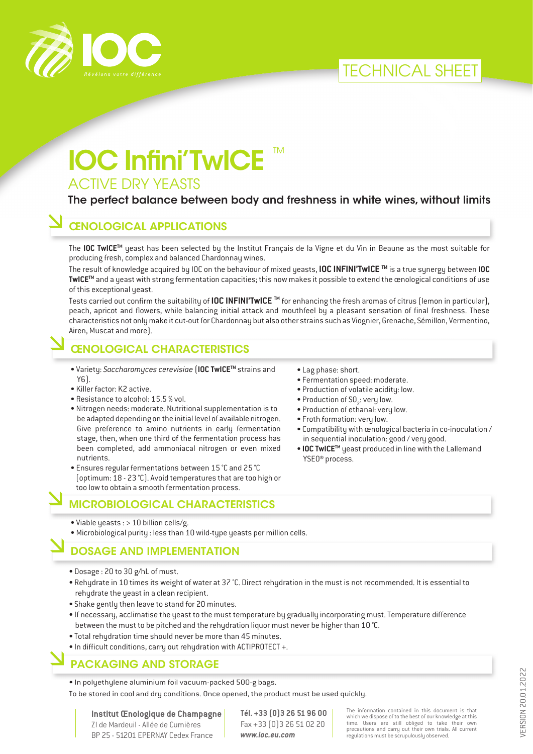



# **IOC Infini'TwICE** ™ ACTIVE DRY YEASTS

#### The perfect balance between body and freshness in white wines, without limits

# ŒNOLOGICAL APPLICATIONS

The **IOC TwICETM** yeast has been selected by the Institut Français de la Vigne et du Vin in Beaune as the most suitable for producing fresh, complex and balanced Chardonnay wines.

The result of knowledge acquired by IOC on the behaviour of mixed yeasts, **IOC INFINI'TwICE TM** is a true synergy between **IOC TwICETM** and a yeast with strong fermentation capacities; this now makes it possible to extend the œnological conditions of use of this exceptional yeast.

Tests carried out confirm the suitability of **IOC INFINI'TwICE TM** for enhancing the fresh aromas of citrus (lemon in particular), peach, apricot and flowers, while balancing initial attack and mouthfeel by a pleasant sensation of final freshness. These characteristics not only make it cut-out for Chardonnay but also other strains such as Viognier, Grenache, Sémillon, Vermentino, Airen, Muscat and more).

#### ŒNOLOGICAL CHARACTERISTICS

- Variety: *Saccharomyces cerevisiae* (**IOC TwICETM** strains and Y6).
- Killer factor: K2 active.
- Resistance to alcohol: 15.5 % vol.
- Nitrogen needs: moderate. Nutritional supplementation is to be adapted depending on the initial level of available nitrogen. Give preference to amino nutrients in early fermentation stage, then, when one third of the fermentation process has been completed, add ammoniacal nitrogen or even mixed nutrients.
- Ensures regular fermentations between 15 °C and 25 °C (optimum: 18 - 23 °C). Avoid temperatures that are too high or too low to obtain a smooth fermentation process.

#### MICROBIOLOGICAL CHARACTERISTICS

- Viable yeasts : > 10 billion cells/g.
- Microbiological purity : less than 10 wild-type yeasts per million cells.

#### DOSAGE AND IMPLEMENTATION

- Dosage : 20 to 30 g/hL of must.
- Rehydrate in 10 times its weight of water at 37 °C. Direct rehydration in the must is not recommended. It is essential to rehydrate the yeast in a clean recipient.
- Shake gently then leave to stand for 20 minutes.
- If necessary, acclimatise the yeast to the must temperature by gradually incorporating must. Temperature difference between the must to be pitched and the rehydration liquor must never be higher than 10 °C.
- Total rehydration time should never be more than 45 minutes.
- In difficult conditions, carry out rehydration with ACTIPROTECT +.

# PACKAGING AND STORAGE

• In polyethylene aluminium foil vacuum-packed 500-g bags.

To be stored in cool and dry conditions. Once opened, the product must be used quickly.

**Institut Œnologique de Champagne** ZI de Mardeuil - Allée de Cumières BP 25 - 51201 EPERNAY Cedex France

**Tél. +33 (0)3 26 51 96 00** Fax +33 (0)3 26 51 02 20 *www.ioc.eu.com*

The information contained in this document is that which we dispose of to the best of our knowledge at this time. Users are still obliged to take their own precautions and carry out their own trials. All current regulations must be scrupulously observed.

• Lag phase: short.

- Fermentation speed: moderate.
- Production of volatile acidity: low.
- Production of  $SO_2$ : very low.
- Production of ethanal: very low.
- Froth formation: very low.
- Compatibility with œnological bacteria in co-inoculation / in sequential inoculation: good / very good.
- **IOC TwICETM** yeast produced in line with the Lallemand YSEO® process.